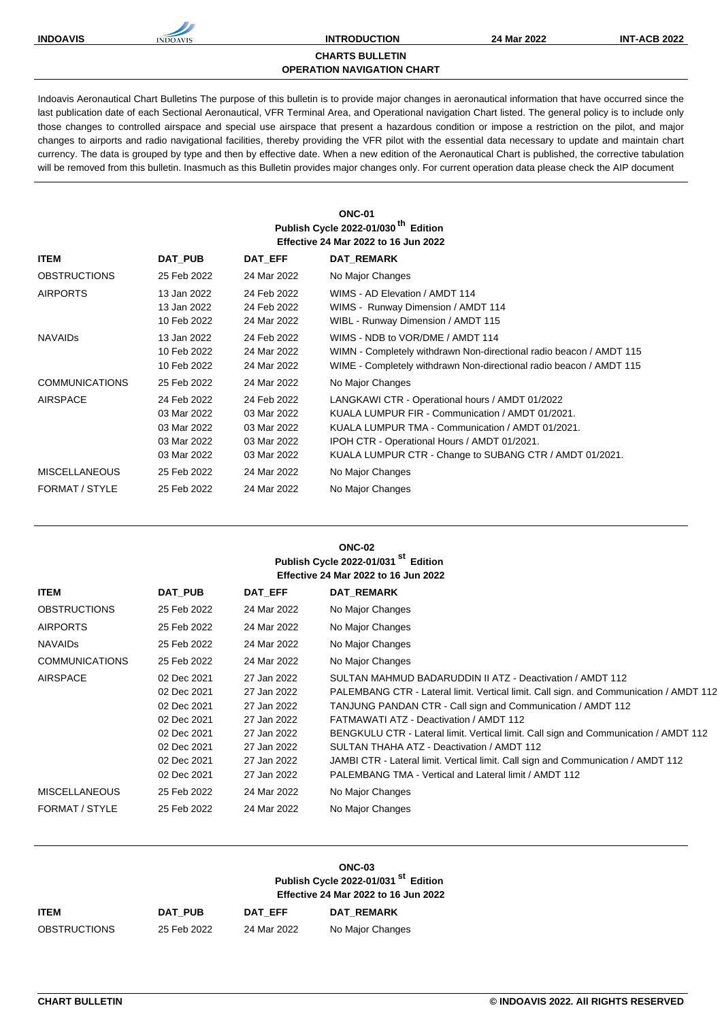**INDOAVIS INTRODUCTION 24 Mar 2022 INT-ACB 2022**

## **CHARTS BULLETIN**

Indoavis Aeronautical Chart Bulletins The purpose of this bulletin is to provide major changes in aeronautical information that have occurred since the last publication date of each Sectional Aeronautical, VFR Terminal Area, and Operational navigation Chart listed. The general policy is to include only those changes to controlled airspace and special use airspace that present a hazardous condition or impose a restriction on the pilot, and major changes to airports and radio navigational facilities, thereby providing the VFR pilot with the essential data necessary to update and maintain chart currency. The data is grouped by type and then by effective date. When a new edition of the Aeronautical Chart is published, the corrective tabulation will be removed from this bulletin. Inasmuch as this Bulletin provides major changes only. For current operation data please check the AIP document

**OPERATION NAVIGATION CHART**

|                       |                                                                         |                                                                         | <b>ONC-01</b><br>Publish Cycle 2022-01/030 <sup>th</sup> Edition<br><b>Effective 24 Mar 2022 to 16 Jun 2022</b>                                                                                                                                                    |
|-----------------------|-------------------------------------------------------------------------|-------------------------------------------------------------------------|--------------------------------------------------------------------------------------------------------------------------------------------------------------------------------------------------------------------------------------------------------------------|
| <b>ITEM</b>           | DAT PUB                                                                 | <b>DAT EFF</b>                                                          | <b>DAT REMARK</b>                                                                                                                                                                                                                                                  |
| <b>OBSTRUCTIONS</b>   | 25 Feb 2022                                                             | 24 Mar 2022                                                             | No Major Changes                                                                                                                                                                                                                                                   |
| <b>AIRPORTS</b>       | 13 Jan 2022<br>13 Jan 2022<br>10 Feb 2022                               | 24 Feb 2022<br>24 Feb 2022<br>24 Mar 2022                               | WIMS - AD Flevation / AMDT 114<br>WIMS - Runway Dimension / AMDT 114<br>WIBL - Runway Dimension / AMDT 115                                                                                                                                                         |
| <b>NAVAIDS</b>        | 13 Jan 2022<br>10 Feb 2022<br>10 Feb 2022                               | 24 Feb 2022<br>24 Mar 2022<br>24 Mar 2022                               | WIMS - NDB to VOR/DME / AMDT 114<br>WIMN - Completely withdrawn Non-directional radio beacon / AMDT 115<br>WIME - Completely withdrawn Non-directional radio beacon / AMDT 115                                                                                     |
| <b>COMMUNICATIONS</b> | 25 Feb 2022                                                             | 24 Mar 2022                                                             | No Major Changes                                                                                                                                                                                                                                                   |
| <b>AIRSPACE</b>       | 24 Feb 2022<br>03 Mar 2022<br>03 Mar 2022<br>03 Mar 2022<br>03 Mar 2022 | 24 Feb 2022<br>03 Mar 2022<br>03 Mar 2022<br>03 Mar 2022<br>03 Mar 2022 | LANGKAWI CTR - Operational hours / AMDT 01/2022<br>KUALA LUMPUR FIR - Communication / AMDT 01/2021.<br>KUALA LUMPUR TMA - Communication / AMDT 01/2021.<br>IPOH CTR - Operational Hours / AMDT 01/2021.<br>KUALA LUMPUR CTR - Change to SUBANG CTR / AMDT 01/2021. |
| <b>MISCELLANEOUS</b>  | 25 Feb 2022                                                             | 24 Mar 2022                                                             | No Major Changes                                                                                                                                                                                                                                                   |
| FORMAT / STYLE        | 25 Feb 2022                                                             | 24 Mar 2022                                                             | No Major Changes                                                                                                                                                                                                                                                   |

**ONC-02** 

|                       |             |             | Publish Cycle 2022-01/031 <sup>st</sup> Edition<br><b>Effective 24 Mar 2022 to 16 Jun 2022</b> |
|-----------------------|-------------|-------------|------------------------------------------------------------------------------------------------|
| <b>ITEM</b>           | DAT PUB     | DAT EFF     | <b>DAT_REMARK</b>                                                                              |
| <b>OBSTRUCTIONS</b>   | 25 Feb 2022 | 24 Mar 2022 | No Major Changes                                                                               |
| <b>AIRPORTS</b>       | 25 Feb 2022 | 24 Mar 2022 | No Major Changes                                                                               |
| <b>NAVAIDS</b>        | 25 Feb 2022 | 24 Mar 2022 | No Major Changes                                                                               |
| <b>COMMUNICATIONS</b> | 25 Feb 2022 | 24 Mar 2022 | No Major Changes                                                                               |
| <b>AIRSPACE</b>       | 02 Dec 2021 | 27 Jan 2022 | SULTAN MAHMUD BADARUDDIN II ATZ - Deactivation / AMDT 112                                      |
|                       | 02 Dec 2021 | 27 Jan 2022 | PALEMBANG CTR - Lateral limit. Vertical limit. Call sign. and Communication / AMDT 112         |
|                       | 02 Dec 2021 | 27 Jan 2022 | TANJUNG PANDAN CTR - Call sign and Communication / AMDT 112                                    |
|                       | 02 Dec 2021 | 27 Jan 2022 | FATMAWATI ATZ - Deactivation / AMDT 112                                                        |
|                       | 02 Dec 2021 | 27 Jan 2022 | BENGKULU CTR - Lateral limit. Vertical limit. Call sign and Communication / AMDT 112           |
|                       | 02 Dec 2021 | 27 Jan 2022 | SULTAN THAHA ATZ - Deactivation / AMDT 112                                                     |
|                       | 02 Dec 2021 | 27 Jan 2022 | JAMBI CTR - Lateral limit. Vertical limit. Call sign and Communication / AMDT 112              |
|                       | 02 Dec 2021 | 27 Jan 2022 | PALEMBANG TMA - Vertical and Lateral limit / AMDT 112                                          |
| <b>MISCELLANEOUS</b>  | 25 Feb 2022 | 24 Mar 2022 | No Major Changes                                                                               |
| FORMAT / STYLE        | 25 Feb 2022 | 24 Mar 2022 | No Major Changes                                                                               |
|                       |             |             |                                                                                                |

|              |                | ONC-03<br>Publish Cycle 2022-01/031 <sup>st</sup> Edition<br><b>Effective 24 Mar 2022 to 16 Jun 2022</b> |                   |
|--------------|----------------|----------------------------------------------------------------------------------------------------------|-------------------|
| ITEM         | <b>DAT PUB</b> | DAT EFF                                                                                                  | <b>DAT REMARK</b> |
| OBSTRUCTIONS | 25 Feb 2022    | 24 Mar 2022                                                                                              | No Major Changes  |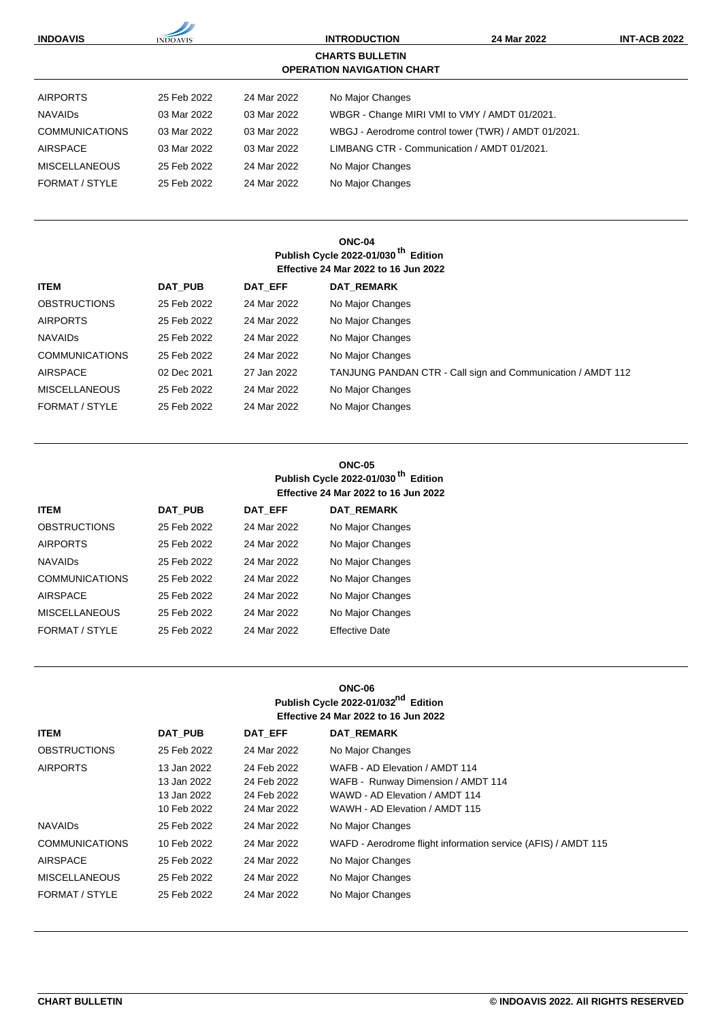| <b>INDOAVIS</b>       | <b>INDOAVIS</b> | <b>INTRODUCTION</b> |                                                             | 24 Mar 2022                                          | <b>INT-ACB 2022</b> |
|-----------------------|-----------------|---------------------|-------------------------------------------------------------|------------------------------------------------------|---------------------|
|                       |                 |                     | <b>CHARTS BULLETIN</b><br><b>OPERATION NAVIGATION CHART</b> |                                                      |                     |
| <b>AIRPORTS</b>       | 25 Feb 2022     | 24 Mar 2022         | No Major Changes                                            |                                                      |                     |
| <b>NAVAIDS</b>        | 03 Mar 2022     | 03 Mar 2022         | WBGR - Change MIRI VMI to VMY / AMDT 01/2021.               |                                                      |                     |
| <b>COMMUNICATIONS</b> | 03 Mar 2022     | 03 Mar 2022         |                                                             | WBGJ - Aerodrome control tower (TWR) / AMDT 01/2021. |                     |
| AIRSPACE              | 03 Mar 2022     | 03 Mar 2022         | LIMBANG CTR - Communication / AMDT 01/2021.                 |                                                      |                     |
| <b>MISCELLANEOUS</b>  | 25 Feb 2022     | 24 Mar 2022         | No Major Changes                                            |                                                      |                     |
| FORMAT / STYLE        | 25 Feb 2022     | 24 Mar 2022         | No Major Changes                                            |                                                      |                     |

## **ONC-04 Publish Cycle 2022-01/030 th Edition Effective 24 Mar 2022 to 16 Jun 2022**

| <b>ITEM</b>           | <b>DAT PUB</b> | DAT EFF     | <b>DAT REMARK</b>                                           |
|-----------------------|----------------|-------------|-------------------------------------------------------------|
| <b>OBSTRUCTIONS</b>   | 25 Feb 2022    | 24 Mar 2022 | No Major Changes                                            |
| <b>AIRPORTS</b>       | 25 Feb 2022    | 24 Mar 2022 | No Major Changes                                            |
| <b>NAVAIDS</b>        | 25 Feb 2022    | 24 Mar 2022 | No Major Changes                                            |
| <b>COMMUNICATIONS</b> | 25 Feb 2022    | 24 Mar 2022 | No Major Changes                                            |
| <b>AIRSPACE</b>       | 02 Dec 2021    | 27 Jan 2022 | TANJUNG PANDAN CTR - Call sign and Communication / AMDT 112 |
| <b>MISCELLANEOUS</b>  | 25 Feb 2022    | 24 Mar 2022 | No Major Changes                                            |
| FORMAT / STYLE        | 25 Feb 2022    | 24 Mar 2022 | No Major Changes                                            |

# **ONC-05 Publish Cycle 2022-01/030 th Edition Effective 24 Mar 2022 to 16 Jun 2022**

| <b>ITEM</b>           | <b>DAT PUB</b> | <b>DAT EFF</b> | <b>DAT REMARK</b>     |
|-----------------------|----------------|----------------|-----------------------|
| <b>OBSTRUCTIONS</b>   | 25 Feb 2022    | 24 Mar 2022    | No Major Changes      |
| <b>AIRPORTS</b>       | 25 Feb 2022    | 24 Mar 2022    | No Major Changes      |
| <b>NAVAIDS</b>        | 25 Feb 2022    | 24 Mar 2022    | No Major Changes      |
| <b>COMMUNICATIONS</b> | 25 Feb 2022    | 24 Mar 2022    | No Major Changes      |
| <b>AIRSPACE</b>       | 25 Feb 2022    | 24 Mar 2022    | No Major Changes      |
| <b>MISCELLANEOUS</b>  | 25 Feb 2022    | 24 Mar 2022    | No Major Changes      |
| FORMAT / STYLE        | 25 Feb 2022    | 24 Mar 2022    | <b>Effective Date</b> |

# **ONC-06 Publish Cycle 2022-01/032nd Edition Effective 24 Mar 2022 to 16 Jun 2022**

| <b>ITEM</b>           | <b>DAT PUB</b> | DAT EFF     | <b>DAT REMARK</b>                                             |
|-----------------------|----------------|-------------|---------------------------------------------------------------|
| <b>OBSTRUCTIONS</b>   | 25 Feb 2022    | 24 Mar 2022 | No Major Changes                                              |
| <b>AIRPORTS</b>       | 13 Jan 2022    | 24 Feb 2022 | WAFB - AD Elevation / AMDT 114                                |
|                       | 13 Jan 2022    | 24 Feb 2022 | WAFB - Runway Dimension / AMDT 114                            |
|                       | 13 Jan 2022    | 24 Feb 2022 | WAWD - AD Elevation / AMDT 114                                |
|                       | 10 Feb 2022    | 24 Mar 2022 | WAWH - AD Elevation / AMDT 115                                |
| <b>NAVAIDS</b>        | 25 Feb 2022    | 24 Mar 2022 | No Major Changes                                              |
| <b>COMMUNICATIONS</b> | 10 Feb 2022    | 24 Mar 2022 | WAFD - Aerodrome flight information service (AFIS) / AMDT 115 |
| <b>AIRSPACE</b>       | 25 Feb 2022    | 24 Mar 2022 | No Major Changes                                              |
| <b>MISCELLANEOUS</b>  | 25 Feb 2022    | 24 Mar 2022 | No Major Changes                                              |
| FORMAT / STYLE        | 25 Feb 2022    | 24 Mar 2022 | No Major Changes                                              |
|                       |                |             |                                                               |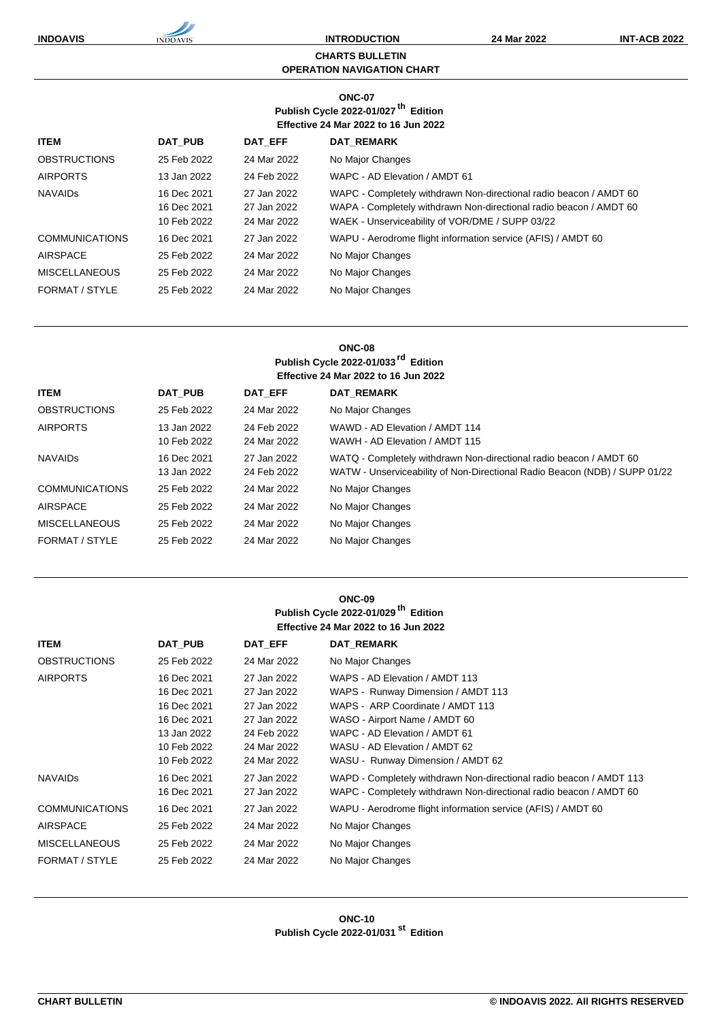**INDOAVIS INTRODUCTION 24 Mar 2022 INT-ACB 2022**

#### **CHARTS BULLETIN OPERATION NAVIGATION CHART**

## **ONC-07 Publish Cycle 2022-01/027 th Edition Effective 24 Mar 2022 to 16 Jun 2022**

| <b>ITEM</b>           | <b>DAT PUB</b> | <b>DAT EFF</b> | <b>DAT REMARK</b>                                                  |
|-----------------------|----------------|----------------|--------------------------------------------------------------------|
| <b>OBSTRUCTIONS</b>   | 25 Feb 2022    | 24 Mar 2022    | No Major Changes                                                   |
| <b>AIRPORTS</b>       | 13 Jan 2022    | 24 Feb 2022    | WAPC - AD Elevation / AMDT 61                                      |
| <b>NAVAIDS</b>        | 16 Dec 2021    | 27 Jan 2022    | WAPC - Completely withdrawn Non-directional radio beacon / AMDT 60 |
|                       | 16 Dec 2021    | 27 Jan 2022    | WAPA - Completely withdrawn Non-directional radio beacon / AMDT 60 |
|                       | 10 Feb 2022    | 24 Mar 2022    | WAEK - Unserviceability of VOR/DME / SUPP 03/22                    |
| <b>COMMUNICATIONS</b> | 16 Dec 2021    | 27 Jan 2022    | WAPU - Aerodrome flight information service (AFIS) / AMDT 60       |
| AIRSPACE              | 25 Feb 2022    | 24 Mar 2022    | No Major Changes                                                   |
| <b>MISCELLANEOUS</b>  | 25 Feb 2022    | 24 Mar 2022    | No Major Changes                                                   |
| FORMAT / STYLE        | 25 Feb 2022    | 24 Mar 2022    | No Major Changes                                                   |

## **ONC-08 Publish Cycle 2022-01/033rd Edition Effective 24 Mar 2022 to 16 Jun 2022**

| <b>ITEM</b>           | <b>DAT PUB</b>             | <b>DAT EFF</b>             | <b>DAT REMARK</b>                                                                                                                                |
|-----------------------|----------------------------|----------------------------|--------------------------------------------------------------------------------------------------------------------------------------------------|
| <b>OBSTRUCTIONS</b>   | 25 Feb 2022                | 24 Mar 2022                | No Major Changes                                                                                                                                 |
| <b>AIRPORTS</b>       | 13 Jan 2022<br>10 Feb 2022 | 24 Feb 2022<br>24 Mar 2022 | WAWD - AD Elevation / AMDT 114<br>WAWH - AD Elevation / AMDT 115                                                                                 |
| <b>NAVAIDS</b>        | 16 Dec 2021<br>13 Jan 2022 | 27 Jan 2022<br>24 Feb 2022 | WATQ - Completely withdrawn Non-directional radio beacon / AMDT 60<br>WATW - Unserviceability of Non-Directional Radio Beacon (NDB) / SUPP 01/22 |
| <b>COMMUNICATIONS</b> | 25 Feb 2022                | 24 Mar 2022                | No Major Changes                                                                                                                                 |
| AIRSPACE              | 25 Feb 2022                | 24 Mar 2022                | No Major Changes                                                                                                                                 |
| <b>MISCELLANEOUS</b>  | 25 Feb 2022                | 24 Mar 2022                | No Major Changes                                                                                                                                 |
| FORMAT / STYLE        | 25 Feb 2022                | 24 Mar 2022                | No Major Changes                                                                                                                                 |
|                       |                            |                            |                                                                                                                                                  |

#### **ONC-09 Publish Cycle 2022-01/029 th Edition Effective 24 Mar 2022 to 16 Jun 2022**

| <b>ITEM</b>           | <b>DAT PUB</b> | DAT EFF     | DAT REMARK                                                          |
|-----------------------|----------------|-------------|---------------------------------------------------------------------|
| <b>OBSTRUCTIONS</b>   | 25 Feb 2022    | 24 Mar 2022 | No Major Changes                                                    |
| <b>AIRPORTS</b>       | 16 Dec 2021    | 27 Jan 2022 | WAPS - AD Elevation / AMDT 113                                      |
|                       | 16 Dec 2021    | 27 Jan 2022 | WAPS - Runway Dimension / AMDT 113                                  |
|                       | 16 Dec 2021    | 27 Jan 2022 | WAPS - ARP Coordinate / AMDT 113                                    |
|                       | 16 Dec 2021    | 27 Jan 2022 | WASO - Airport Name / AMDT 60                                       |
|                       | 13 Jan 2022    | 24 Feb 2022 | WAPC - AD Elevation / AMDT 61                                       |
|                       | 10 Feb 2022    | 24 Mar 2022 | WASU - AD Elevation / AMDT 62                                       |
|                       | 10 Feb 2022    | 24 Mar 2022 | WASU - Runway Dimension / AMDT 62                                   |
| <b>NAVAIDS</b>        | 16 Dec 2021    | 27 Jan 2022 | WAPD - Completely withdrawn Non-directional radio beacon / AMDT 113 |
|                       | 16 Dec 2021    | 27 Jan 2022 | WAPC - Completely withdrawn Non-directional radio beacon / AMDT 60  |
| <b>COMMUNICATIONS</b> | 16 Dec 2021    | 27 Jan 2022 | WAPU - Aerodrome flight information service (AFIS) / AMDT 60        |
| <b>AIRSPACE</b>       | 25 Feb 2022    | 24 Mar 2022 | No Major Changes                                                    |
| <b>MISCELLANEOUS</b>  | 25 Feb 2022    | 24 Mar 2022 | No Major Changes                                                    |
| FORMAT / STYLE        | 25 Feb 2022    | 24 Mar 2022 | No Major Changes                                                    |

#### **ONC-10 Publish Cycle 2022-01/031 st Edition**